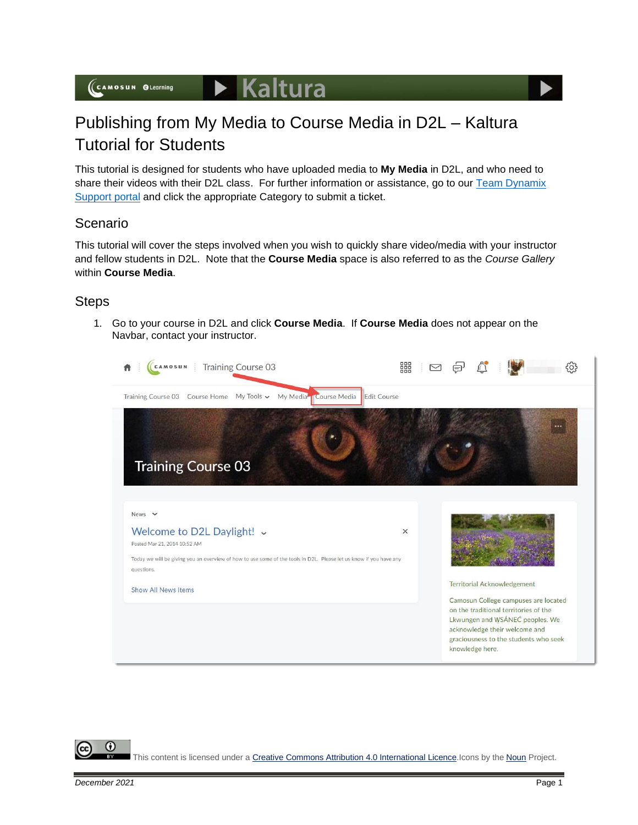

This tutorial is designed for students who have uploaded media to **My Media** in D2L, and who need to share their videos with their D2L class. For further information or assistance, go to our Team Dynamix [Support portal](https://camosun.teamdynamix.com/TDClient/67/Portal/Requests/ServiceCatalog?CategoryID=524) and click the appropriate Category to submit a ticket.

## Scenario

This tutorial will cover the steps involved when you wish to quickly share video/media with your instructor and fellow students in D2L. Note that the **Course Media** space is also referred to as the *Course Gallery* within **Course Media**.

## **Steps**

1. Go to your course in D2L and click **Course Media**. If **Course Media** does not appear on the Navbar, contact your instructor.



This content is licensed under [a Creative Commons Attribution 4.0 International Licence.I](https://creativecommons.org/licenses/by/4.0/)cons by the [Noun](https://creativecommons.org/website-icons/) Project.

G